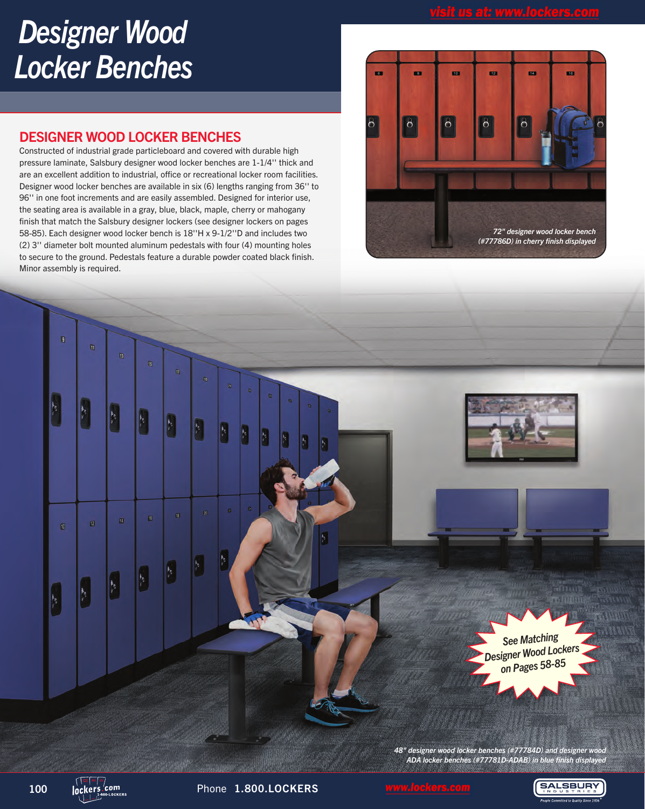# *Designer Wood Locker Benches*

## DESIGNER WOOD LOCKER BENCHES

Constructed of industrial grade particleboard and covered with durable high pressure laminate, Salsbury designer wood locker benches are 1-1/4'' thick and are an excellent addition to industrial, office or recreational locker room facilities. Designer wood locker benches are available in six (6) lengths ranging from 36'' to 96'' in one foot increments and are easily assembled. Designed for interior use, the seating area is available in a gray, blue, black, maple, cherry or mahogany finish that match the Salsbury designer lockers (see designer lockers on pages 58-85). Each designer wood locker bench is 18''H x 9-1/2''D and includes two (2) 3'' diameter bolt mounted aluminum pedestals with four (4) mounting holes to secure to the ground. Pedestals feature a durable powder coated black finish. Minor assembly is required.





**SALSBURY**